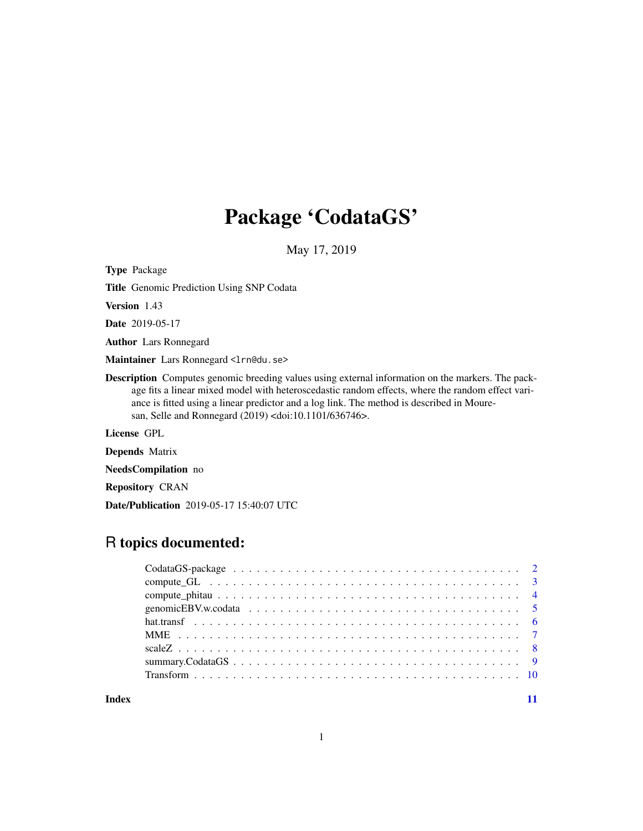## Package 'CodataGS'

May 17, 2019

Type Package

Title Genomic Prediction Using SNP Codata

Version 1.43

Date 2019-05-17

Author Lars Ronnegard

Maintainer Lars Ronnegard <lrn@du.se>

Description Computes genomic breeding values using external information on the markers. The package fits a linear mixed model with heteroscedastic random effects, where the random effect variance is fitted using a linear predictor and a log link. The method is described in Mouresan, Selle and Ronnegard (2019) <doi:10.1101/636746>.

License GPL

Depends Matrix

NeedsCompilation no

Repository CRAN

Date/Publication 2019-05-17 15:40:07 UTC

## R topics documented:

**Index** [11](#page-10-0)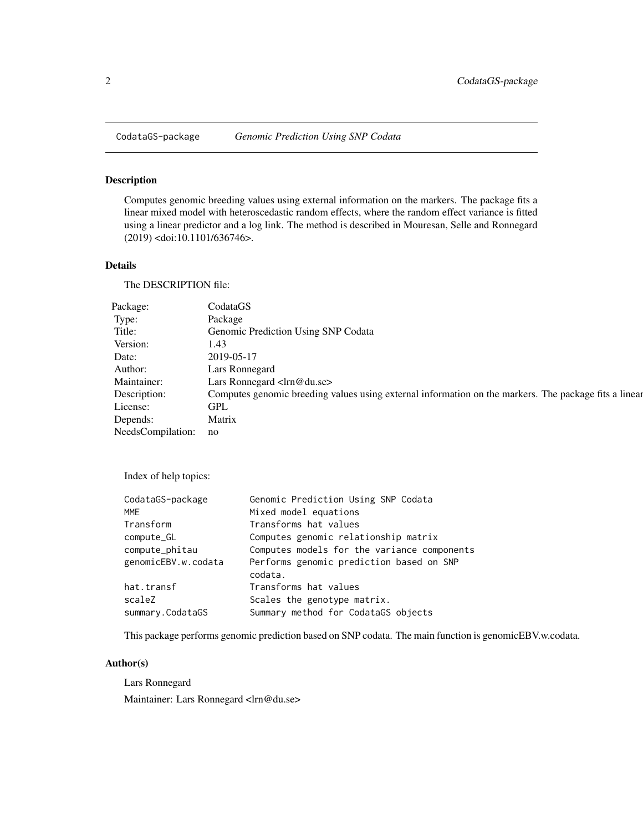<span id="page-1-0"></span>

Computes genomic breeding values using external information on the markers. The package fits a linear mixed model with heteroscedastic random effects, where the random effect variance is fitted using a linear predictor and a log link. The method is described in Mouresan, Selle and Ronnegard (2019) <doi:10.1101/636746>.

#### Details

The DESCRIPTION file:

| Package:             | CodataGS                                                                                              |
|----------------------|-------------------------------------------------------------------------------------------------------|
| Type:                | Package                                                                                               |
| Title:               | Genomic Prediction Using SNP Codata                                                                   |
| Version:             | 1.43                                                                                                  |
| Date:                | 2019-05-17                                                                                            |
| Author:              | Lars Ronnegard                                                                                        |
| Maintainer:          | Lars Ronnegard <lrn@du.se></lrn@du.se>                                                                |
| Description:         | Computes genomic breeding values using external information on the markers. The package fits a linear |
| License:             | GPL                                                                                                   |
| Depends:             | Matrix                                                                                                |
| NeedsCompilation: no |                                                                                                       |

Index of help topics:

| Computes models for the variance components |
|---------------------------------------------|
| Performs genomic prediction based on SNP    |
|                                             |
|                                             |
|                                             |
|                                             |

This package performs genomic prediction based on SNP codata. The main function is genomicEBV.w.codata.

#### Author(s)

Lars Ronnegard Maintainer: Lars Ronnegard <lrn@du.se>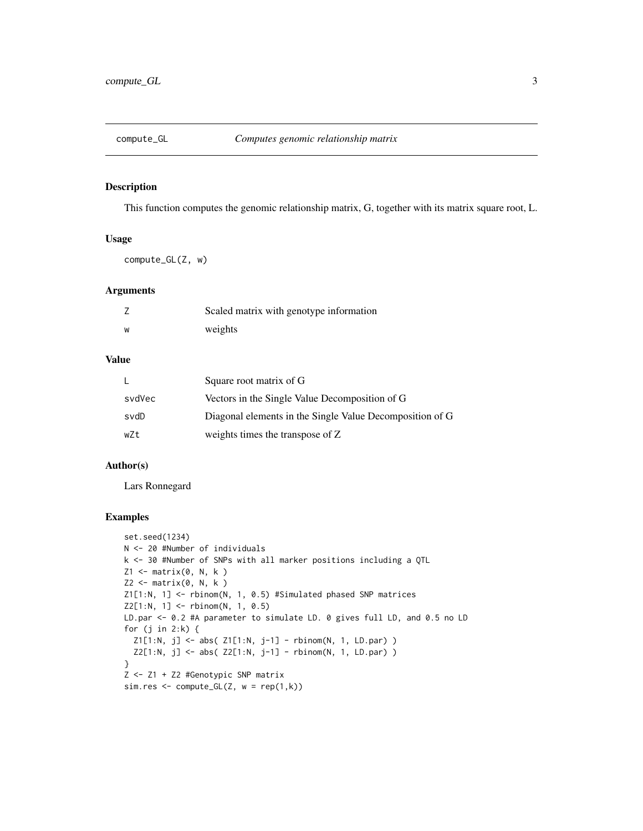<span id="page-2-0"></span>

This function computes the genomic relationship matrix, G, together with its matrix square root, L.

#### Usage

compute\_GL(Z, w)

#### Arguments

| Ź | Scaled matrix with genotype information |
|---|-----------------------------------------|
| w | weights                                 |

#### Value

|        | Square root matrix of G                                  |
|--------|----------------------------------------------------------|
| svdVec | Vectors in the Single Value Decomposition of G           |
| svdD   | Diagonal elements in the Single Value Decomposition of G |
| wZt    | weights times the transpose of Z                         |

#### Author(s)

Lars Ronnegard

```
set.seed(1234)
N <- 20 #Number of individuals
k <- 30 #Number of SNPs with all marker positions including a QTL
Z1 <- matrix(0, N, k )
Z2 <- matrix(0, N, k )
Z1[1:N, 1] <- rbinom(N, 1, 0.5) #Simulated phased SNP matrices
Z2[1:N, 1] <- rbinom(N, 1, 0.5)
LD.par <- 0.2 #A parameter to simulate LD. 0 gives full LD, and 0.5 no LD
for (j in 2:k) {
  Z1[1:N, j] <- abs( Z1[1:N, j-1] - rbinom(N, 1, LD.par) )
  Z2[1:N, j] \leq abs( Z2[1:N, j-1] - rbinom(N, 1, LDpar) )}
Z <- Z1 + Z2 #Genotypic SNP matrix
sim.res \leq compute_GL(Z, w = \text{rep}(1, k))
```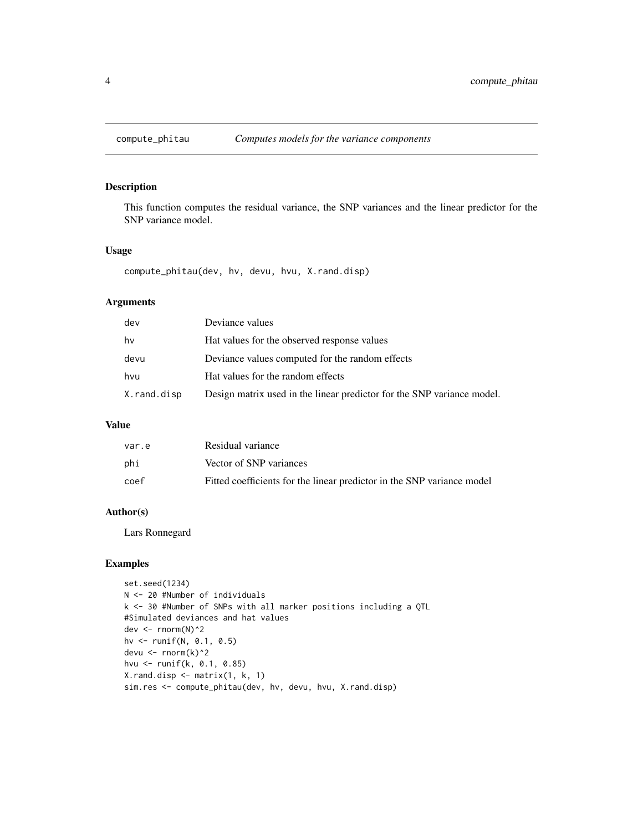<span id="page-3-0"></span>

This function computes the residual variance, the SNP variances and the linear predictor for the SNP variance model.

#### Usage

compute\_phitau(dev, hv, devu, hvu, X.rand.disp)

#### Arguments

| dev         | Deviance values                                                        |
|-------------|------------------------------------------------------------------------|
| hv          | Hat values for the observed response values                            |
| devu        | Deviance values computed for the random effects                        |
| hvu         | Hat values for the random effects                                      |
| X.rand.disp | Design matrix used in the linear predictor for the SNP variance model. |

#### Value

| var.e | Residual variance                                                      |
|-------|------------------------------------------------------------------------|
| phi   | Vector of SNP variances                                                |
| coef  | Fitted coefficients for the linear predictor in the SNP variance model |

#### Author(s)

Lars Ronnegard

```
set.seed(1234)
N <- 20 #Number of individuals
k <- 30 #Number of SNPs with all marker positions including a QTL
#Simulated deviances and hat values
dev <- rnorm(N)^2
hv <- runif(N, 0.1, 0.5)
devu <- rnorm(k)^2
hvu <- runif(k, 0.1, 0.85)
X.rand.disp <- matrix(1, k, 1)
sim.res <- compute_phitau(dev, hv, devu, hvu, X.rand.disp)
```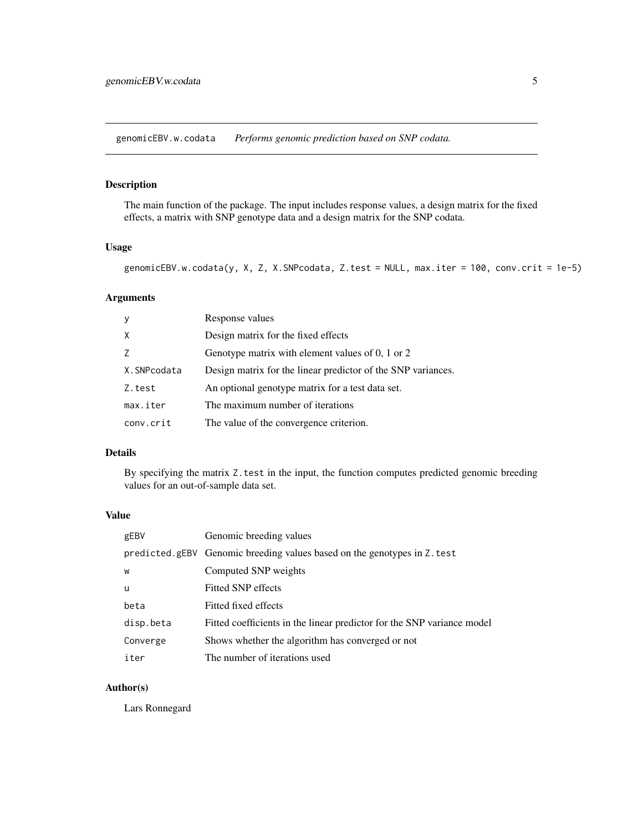<span id="page-4-0"></span>genomicEBV.w.codata *Performs genomic prediction based on SNP codata.*

#### Description

The main function of the package. The input includes response values, a design matrix for the fixed effects, a matrix with SNP genotype data and a design matrix for the SNP codata.

#### Usage

genomicEBV.w.codata(y, X, Z, X.SNPcodata, Z.test = NULL, max.iter = 100, conv.crit = 1e-5)

#### Arguments

| y           | Response values                                              |
|-------------|--------------------------------------------------------------|
| X           | Design matrix for the fixed effects                          |
|             | Genotype matrix with element values of 0, 1 or 2             |
| X.SNPcodata | Design matrix for the linear predictor of the SNP variances. |
| Z.test      | An optional genotype matrix for a test data set.             |
| max.iter    | The maximum number of iterations                             |
| conv.crit   | The value of the convergence criterion.                      |

#### Details

By specifying the matrix Z.test in the input, the function computes predicted genomic breeding values for an out-of-sample data set.

#### Value

| gEBV      | Genomic breeding values                                                  |
|-----------|--------------------------------------------------------------------------|
|           | predicted.gEBV Genomic breeding values based on the genotypes in Z. test |
| W         | Computed SNP weights                                                     |
| u         | Fitted SNP effects                                                       |
| beta      | Fitted fixed effects                                                     |
| disp.beta | Fitted coefficients in the linear predictor for the SNP variance model   |
| Converge  | Shows whether the algorithm has converged or not                         |
| iter      | The number of iterations used                                            |

#### Author(s)

Lars Ronnegard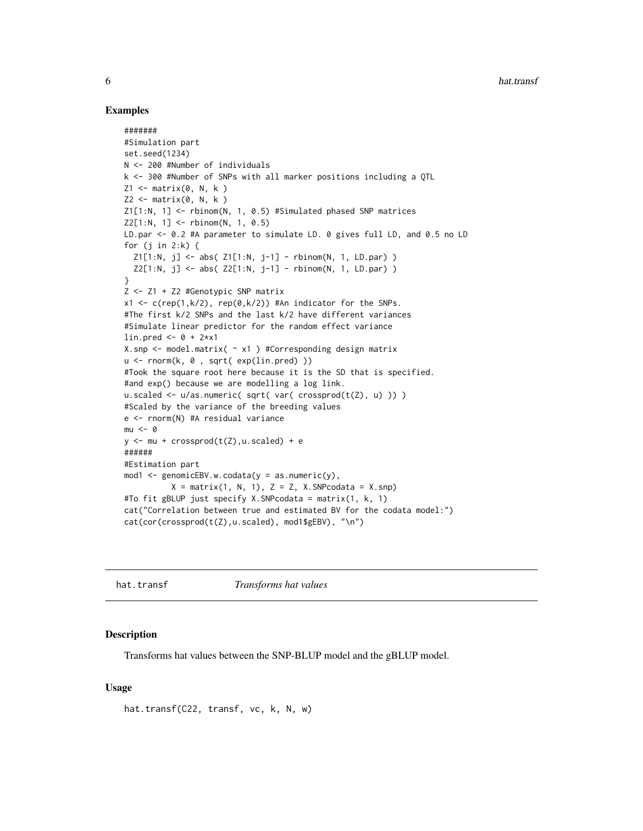#### Examples

```
#######
#Simulation part
set.seed(1234)
N <- 200 #Number of individuals
k <- 300 #Number of SNPs with all marker positions including a QTL
Z1 \leq - matrix(0, N, k)
Z2 \leq - matrix(0, N, k)
Z1[1:N, 1] <- rbinom(N, 1, 0.5) #Simulated phased SNP matrices
Z2[1:N, 1] <- rbinom(N, 1, 0.5)
LD.par <- 0.2 #A parameter to simulate LD. 0 gives full LD, and 0.5 no LD
for (j in 2:k) {
  Z1[1:N, j] <- abs( Z1[1:N, j-1] - rbinom(N, 1, LD.par) )
  Z2[1:N, j] \leq abs( Z2[1:N, j-1] - rbinom(N, 1, LD-par) )}
Z <- Z1 + Z2 #Genotypic SNP matrix
x1 \leq c (rep(1,k/2), rep(0,k/2)) #An indicator for the SNPs.
#The first k/2 SNPs and the last k/2 have different variances
#Simulate linear predictor for the random effect variance
lin.pred \le -0 + 2*x1X.snp <- model.matrix( ~ x1 ) #Corresponding design matrix
u <- rnorm(k, 0 , sqrt( exp(lin.pred) ))
#Took the square root here because it is the SD that is specified.
#and exp() because we are modelling a log link.
u.scaled <- u/as.numeric( sqrt( var( crossprod(t(Z), u) )) )
#Scaled by the variance of the breeding values
e <- rnorm(N) #A residual variance
mu < - \thetay \le - mu + crossprod(t(Z), u.scaled) + e
######
#Estimation part
mod1 <- genomicEBV.w.codata(y = as.numeric(y),
          X = matrix(1, N, 1), Z = Z, X.SNPcodata = X.snp)#To fit gBLUP just specify X.SNPcodata = matrix(1, k, 1)
cat("Correlation between true and estimated BV for the codata model:")
cat(cor(crossprod(t(Z),u.scaled), mod1$gEBV), "\n")
```
hat.transf *Transforms hat values*

#### **Description**

Transforms hat values between the SNP-BLUP model and the gBLUP model.

#### Usage

```
hat.transf(C22, transf, vc, k, N, w)
```
<span id="page-5-0"></span>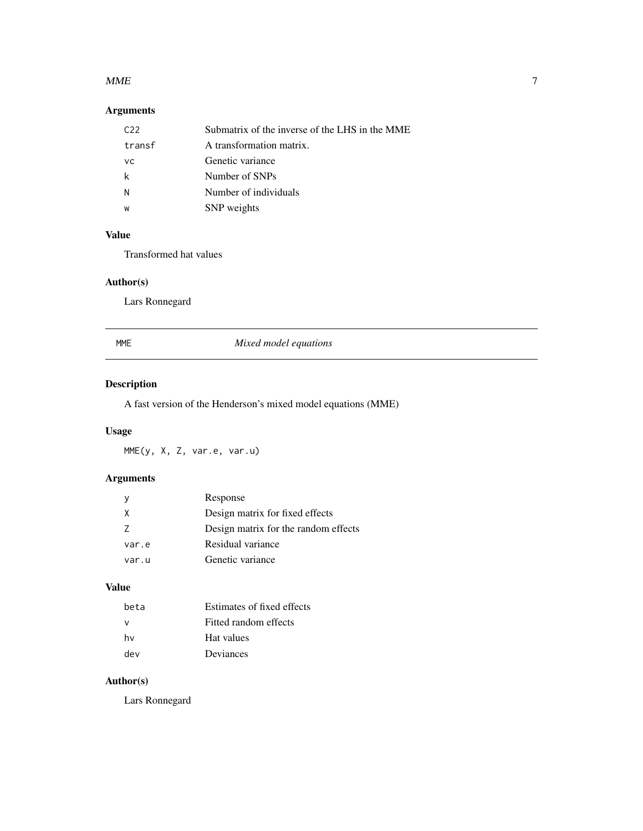#### <span id="page-6-0"></span> $MME$  7

#### Arguments

| C22    | Submatrix of the inverse of the LHS in the MME |
|--------|------------------------------------------------|
| transf | A transformation matrix.                       |
| VC.    | Genetic variance                               |
| k      | Number of SNPs                                 |
| N      | Number of individuals                          |
| W      | SNP weights                                    |

#### Value

Transformed hat values

#### Author(s)

Lars Ronnegard

| MME | Mixed model equations |
|-----|-----------------------|
|     |                       |

### Description

A fast version of the Henderson's mixed model equations (MME)

#### Usage

MME(y, X, Z, var.e, var.u)

#### Arguments

|       | Response                             |
|-------|--------------------------------------|
| X     | Design matrix for fixed effects      |
| 7     | Design matrix for the random effects |
| var.e | Residual variance                    |
| var.u | Genetic variance                     |

#### Value

| heta | Estimates of fixed effects |
|------|----------------------------|
|      | Fitted random effects      |
| hv   | Hat values                 |
| dev  | Deviances                  |

#### Author(s)

Lars Ronnegard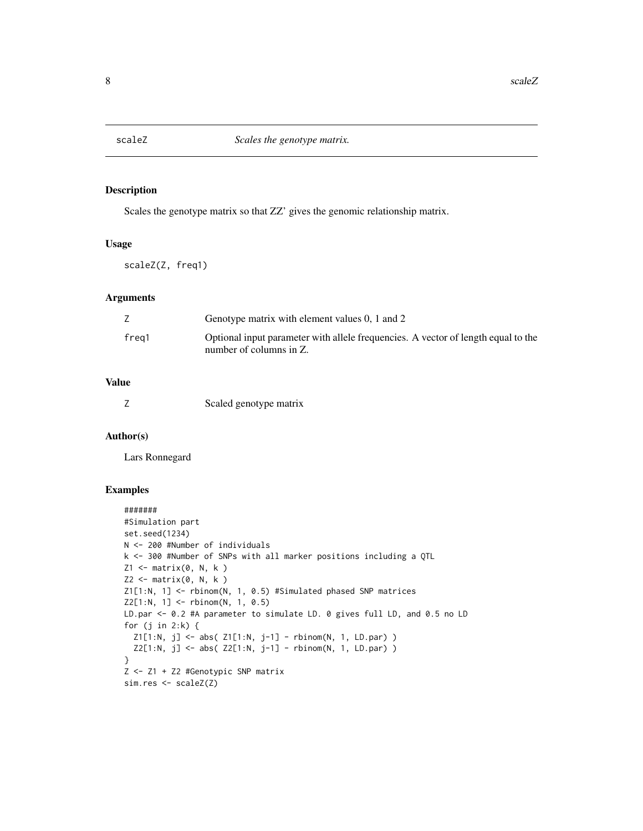<span id="page-7-0"></span>

Scales the genotype matrix so that ZZ' gives the genomic relationship matrix.

#### Usage

scaleZ(Z, freq1)

#### Arguments

|       | Genotype matrix with element values 0, 1 and 2                                                               |
|-------|--------------------------------------------------------------------------------------------------------------|
| frea1 | Optional input parameter with allele frequencies. A vector of length equal to the<br>number of columns in Z. |

#### Value

|  | Scaled genotype matrix |
|--|------------------------|

#### Author(s)

Lars Ronnegard

```
#######
#Simulation part
set.seed(1234)
N <- 200 #Number of individuals
k <- 300 #Number of SNPs with all marker positions including a QTL
Z1 \leftarrow matrix(0, N, k)Z2 \leq - matrix(0, N, k)
Z1[1:N, 1] <- rbinom(N, 1, 0.5) #Simulated phased SNP matrices
Z2[1:N, 1] <- rbinom(N, 1, 0.5)
LD.par <- 0.2 #A parameter to simulate LD. 0 gives full LD, and 0.5 no LD
for (j in 2:k) {
  Z1[1:N, j] <- abs( Z1[1:N, j-1] - rbinom(N, 1, LD.par) )
  Z2[1:N, j] <- abs( Z2[1:N, j-1] - rbinom(N, 1, LD.par) )
}
Z <- Z1 + Z2 #Genotypic SNP matrix
sim.res <- scaleZ(Z)
```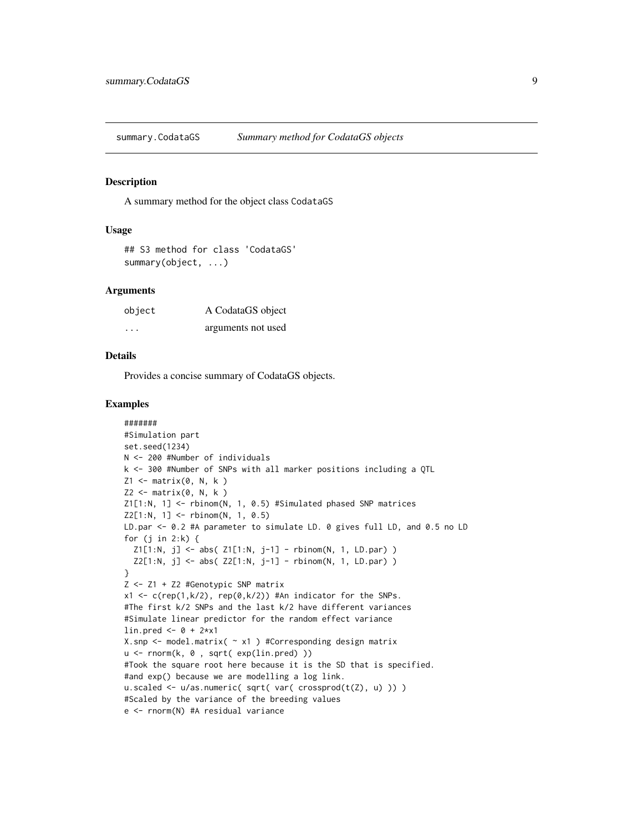<span id="page-8-0"></span>

A summary method for the object class CodataGS

#### Usage

```
## S3 method for class 'CodataGS'
summary(object, ...)
```
#### Arguments

| object  | A CodataGS object  |
|---------|--------------------|
| $\cdot$ | arguments not used |

#### Details

Provides a concise summary of CodataGS objects.

```
#######
#Simulation part
set.seed(1234)
N <- 200 #Number of individuals
k <- 300 #Number of SNPs with all marker positions including a QTL
Z1 \leftarrow matrix(0, N, k)Z2 \leq - matrix(0, N, k)
Z1[1:N, 1] <- rbinom(N, 1, 0.5) #Simulated phased SNP matrices
Z2[1:N, 1] < - rbinom(N, 1, 0.5)
LD.par <- 0.2 #A parameter to simulate LD. 0 gives full LD, and 0.5 no LD
for (j in 2:k) {
  Z1[1:N, j] <- abs( Z1[1:N, j-1] - rbinom(N, 1, LD.par) )
  Z2[1:N, j] \leq abs( Z2[1:N, j-1] - rbinom(N, 1, LD-par) )}
Z <- Z1 + Z2 #Genotypic SNP matrix
x1 \leq c(rep(1,k/2), rep(0,k/2)) #An indicator for the SNPs.
#The first k/2 SNPs and the last k/2 have different variances
#Simulate linear predictor for the random effect variance
lin.pred \le -0 + 2*x1X.snp <- model.matrix( ~ x1 ) #Corresponding design matrix
u <- rnorm(k, 0 , sqrt( exp(lin.pred) ))
#Took the square root here because it is the SD that is specified.
#and exp() because we are modelling a log link.
u.scaled <- u/as.numeric( sqrt( var( crossprod(t(Z), u) )) )
#Scaled by the variance of the breeding values
e <- rnorm(N) #A residual variance
```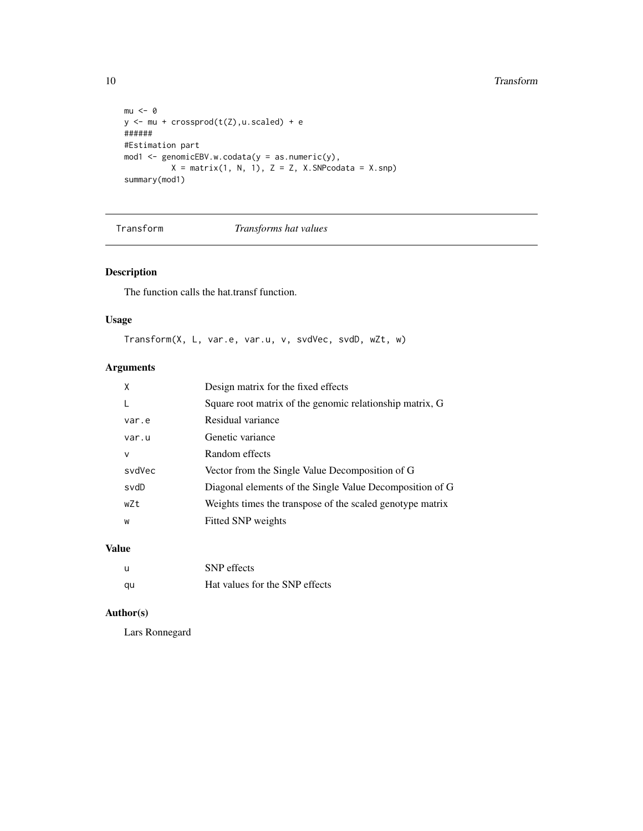#### 10 and 10 and 10 and 10 and 10 and 10 and 10 and 10 and 10 and 10 and 10 and 10 and 10 and 10 and 10 and 10 and 10 and 10 and 10 and 10 and 10 and 10 and 10 and 10 and 10 and 10 and 10 and 10 and 10 and 10 and 10 and 10 an

```
mu < - \thetay <- mu + crossprod(t(Z),u.scaled) + e
######
#Estimation part
mod1 <- genomicEBV.w.codata(y = as.numeric(y),
          X = matrix(1, N, 1), Z = Z, X.SNPcodata = X.snp)summary(mod1)
```
Transform *Transforms hat values*

#### Description

The function calls the hat.transf function.

#### Usage

Transform(X, L, var.e, var.u, v, svdVec, svdD, wZt, w)

#### Arguments

| X      | Design matrix for the fixed effects                       |
|--------|-----------------------------------------------------------|
|        | Square root matrix of the genomic relationship matrix, G  |
| var.e  | Residual variance                                         |
| var.u  | Genetic variance                                          |
| v      | Random effects                                            |
| svdVec | Vector from the Single Value Decomposition of G           |
| svdD   | Diagonal elements of the Single Value Decomposition of G  |
| wZt    | Weights times the transpose of the scaled genotype matrix |
| W      | Fitted SNP weights                                        |
|        |                                                           |

#### Value

| - 11 | <b>SNP</b> effects             |
|------|--------------------------------|
| qu   | Hat values for the SNP effects |

#### Author(s)

Lars Ronnegard

<span id="page-9-0"></span>